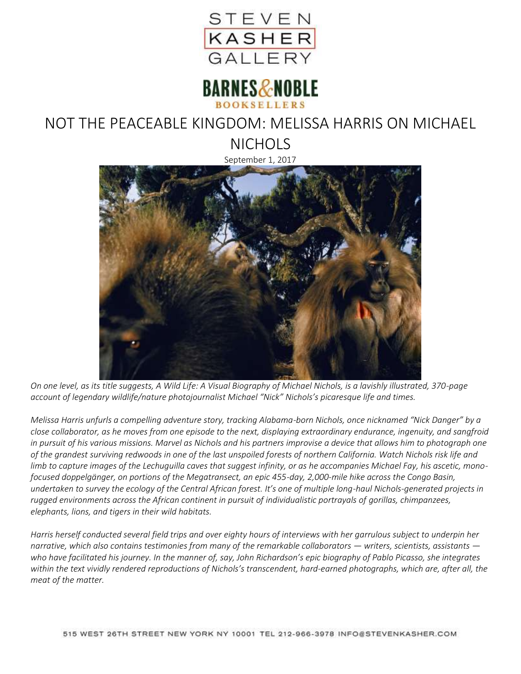



## NOT THE PEACEABLE KINGDOM: MELISSA HARRIS ON MICHAEL

**NICHOLS** 

September 1, 2017



*On one level, as its title suggests, A Wild Life: A Visual Biography of Michael Nichols, is a lavishly illustrated, 370-page account of legendary wildlife/nature photojournalist Michael "Nick" Nichols's picaresque life and times.*

*Melissa Harris unfurls a compelling adventure story, tracking Alabama-born Nichols, once nicknamed "Nick Danger" by a close collaborator, as he moves from one episode to the next, displaying extraordinary endurance, ingenuity, and sangfroid in pursuit of his various missions. Marvel as Nichols and his partners improvise a device that allows him to photograph one of the grandest surviving redwoods in one of the last unspoiled forests of northern California. Watch Nichols risk life and limb to capture images of the Lechuguilla caves that suggest infinity, or as he accompanies Michael Fay, his ascetic, monofocused doppelgänger, on portions of the Megatransect, an epic 455-day, 2,000-mile hike across the Congo Basin, undertaken to survey the ecology of the Central African forest. It's one of multiple long-haul Nichols-generated projects in rugged environments across the African continent in pursuit of individualistic portrayals of gorillas, chimpanzees, elephants, lions, and tigers in their wild habitats.*

*Harris herself conducted several field trips and over eighty hours of interviews with her garrulous subject to underpin her narrative, which also contains testimonies from many of the remarkable collaborators — writers, scientists, assistants who have facilitated his journey. In the manner of, say, John Richardson's epic biography of Pablo Picasso, she integrates within the text vividly rendered reproductions of Nichols's transcendent, hard-earned photographs, which are, after all, the meat of the matter.*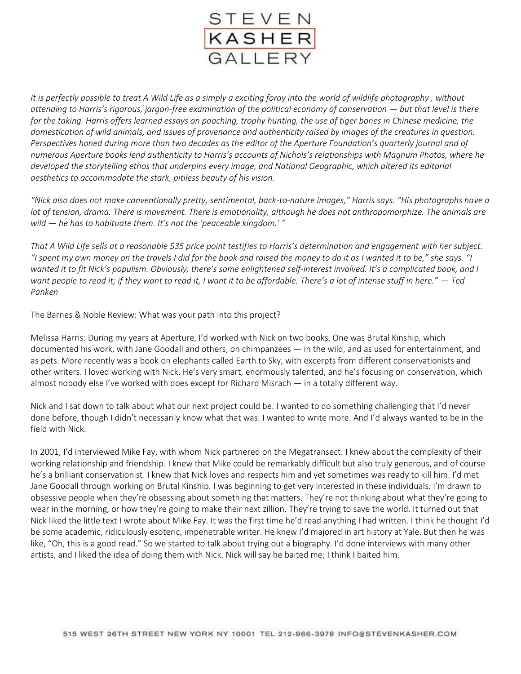

*It is perfectly possible to treat A Wild Life as a simply a exciting foray into the world of wildlife photography , without attending to Harris's rigorous, jargon-free examination of the political economy of conservation — but that level is there for the taking. Harris offers learned essays on poaching, trophy hunting, the use of tiger bones in Chinese medicine, the domestication of wild animals, and issues of provenance and authenticity raised by images of the creatures in question. Perspectives honed during more than two decades as the editor of the Aperture Foundation's quarterly journal and of numerous Aperture books lend authenticity to Harris's accounts of Nichols's relationships with Magnum Photos, where he developed the storytelling ethos that underpins every image, and National Geographic, which altered its editorial aesthetics to accommodate the stark, pitiless beauty of his vision.*

*"Nick also does not make conventionally pretty, sentimental, back-to-nature images," Harris says. "His photographs have a lot of tension, drama. There is movement. There is emotionality, although he does not anthropomorphize. The animals are wild — he has to habituate them. It's not the 'peaceable kingdom.' "*

*That A Wild Life sells at a reasonable \$35 price point testifies to Harris's determination and engagement with her subject. "I spent my own money on the travels I did for the book and raised the money to do it as I wanted it to be," she says. "I wanted it to fit Nick's populism. Obviously, there's some enlightened self-interest involved. It's a complicated book, and I want people to read it; if they want to read it, I want it to be affordable. There's a lot of intense stuff in here." — Ted Panken*

The Barnes & Noble Review: What was your path into this project?

Melissa Harris: During my years at Aperture, I'd worked with Nick on two books. One was Brutal Kinship, which documented his work, with Jane Goodall and others, on chimpanzees — in the wild, and as used for entertainment, and as pets. More recently was a book on elephants called Earth to Sky, with excerpts from different conservationists and other writers. I loved working with Nick. He's very smart, enormously talented, and he's focusing on conservation, which almost nobody else I've worked with does except for Richard Misrach — in a totally different way.

Nick and I sat down to talk about what our next project could be. I wanted to do something challenging that I'd never done before, though I didn't necessarily know what that was. I wanted to write more. And I'd always wanted to be in the field with Nick.

In 2001, I'd interviewed Mike Fay, with whom Nick partnered on the Megatransect. I knew about the complexity of their working relationship and friendship. I knew that Mike could be remarkably difficult but also truly generous, and of course he's a brilliant conservationist. I knew that Nick loves and respects him and yet sometimes was ready to kill him. I'd met Jane Goodall through working on Brutal Kinship. I was beginning to get very interested in these individuals. I'm drawn to obsessive people when they're obsessing about something that matters. They're not thinking about what they're going to wear in the morning, or how they're going to make their next zillion. They're trying to save the world. It turned out that Nick liked the little text I wrote about Mike Fay. It was the first time he'd read anything I had written. I think he thought I'd be some academic, ridiculously esoteric, impenetrable writer. He knew I'd majored in art history at Yale. But then he was like, "Oh, this is a good read." So we started to talk about trying out a biography. I'd done interviews with many other artists, and I liked the idea of doing them with Nick. Nick will say he baited me; I think I baited him.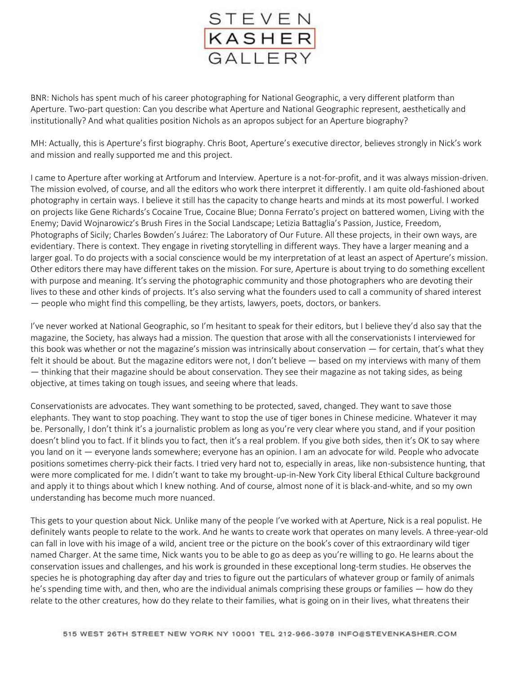

BNR: Nichols has spent much of his career photographing for National Geographic, a very different platform than Aperture. Two-part question: Can you describe what Aperture and National Geographic represent, aesthetically and institutionally? And what qualities position Nichols as an apropos subject for an Aperture biography?

MH: Actually, this is Aperture's first biography. Chris Boot, Aperture's executive director, believes strongly in Nick's work and mission and really supported me and this project.

I came to Aperture after working at Artforum and Interview. Aperture is a not-for-profit, and it was always mission-driven. The mission evolved, of course, and all the editors who work there interpret it differently. I am quite old-fashioned about photography in certain ways. I believe it still has the capacity to change hearts and minds at its most powerful. I worked on projects like Gene Richards's Cocaine True, Cocaine Blue; Donna Ferrato's project on battered women, Living with the Enemy; David Wojnarowicz's Brush Fires in the Social Landscape; Letizia Battaglia's Passion, Justice, Freedom, Photographs of Sicily; Charles Bowden's Juárez: The Laboratory of Our Future. All these projects, in their own ways, are evidentiary. There is context. They engage in riveting storytelling in different ways. They have a larger meaning and a larger goal. To do projects with a social conscience would be my interpretation of at least an aspect of Aperture's mission. Other editors there may have different takes on the mission. For sure, Aperture is about trying to do something excellent with purpose and meaning. It's serving the photographic community and those photographers who are devoting their lives to these and other kinds of projects. It's also serving what the founders used to call a community of shared interest — people who might find this compelling, be they artists, lawyers, poets, doctors, or bankers.

I've never worked at National Geographic, so I'm hesitant to speak for their editors, but I believe they'd also say that the magazine, the Society, has always had a mission. The question that arose with all the conservationists I interviewed for this book was whether or not the magazine's mission was intrinsically about conservation — for certain, that's what they felt it should be about. But the magazine editors were not, I don't believe — based on my interviews with many of them — thinking that their magazine should be about conservation. They see their magazine as not taking sides, as being objective, at times taking on tough issues, and seeing where that leads.

Conservationists are advocates. They want something to be protected, saved, changed. They want to save those elephants. They want to stop poaching. They want to stop the use of tiger bones in Chinese medicine. Whatever it may be. Personally, I don't think it's a journalistic problem as long as you're very clear where you stand, and if your position doesn't blind you to fact. If it blinds you to fact, then it's a real problem. If you give both sides, then it's OK to say where you land on it — everyone lands somewhere; everyone has an opinion. I am an advocate for wild. People who advocate positions sometimes cherry-pick their facts. I tried very hard not to, especially in areas, like non-subsistence hunting, that were more complicated for me. I didn't want to take my brought-up-in-New York City liberal Ethical Culture background and apply it to things about which I knew nothing. And of course, almost none of it is black-and-white, and so my own understanding has become much more nuanced.

This gets to your question about Nick. Unlike many of the people I've worked with at Aperture, Nick is a real populist. He definitely wants people to relate to the work. And he wants to create work that operates on many levels. A three-year-old can fall in love with his image of a wild, ancient tree or the picture on the book's cover of this extraordinary wild tiger named Charger. At the same time, Nick wants you to be able to go as deep as you're willing to go. He learns about the conservation issues and challenges, and his work is grounded in these exceptional long-term studies. He observes the species he is photographing day after day and tries to figure out the particulars of whatever group or family of animals he's spending time with, and then, who are the individual animals comprising these groups or families — how do they relate to the other creatures, how do they relate to their families, what is going on in their lives, what threatens their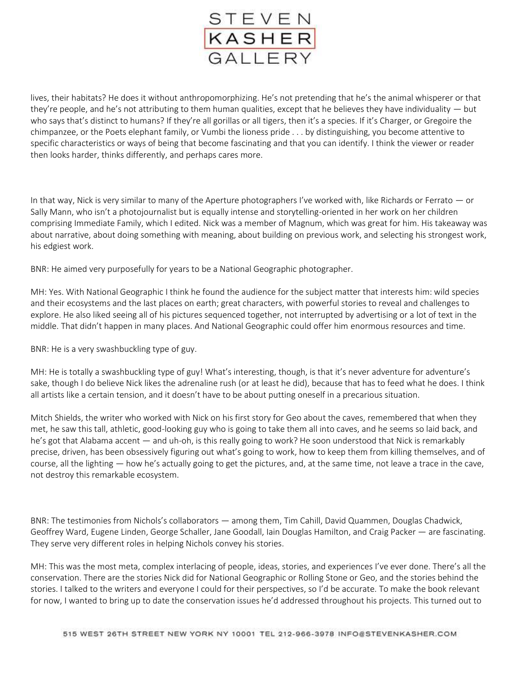

lives, their habitats? He does it without anthropomorphizing. He's not pretending that he's the animal whisperer or that they're people, and he's not attributing to them human qualities, except that he believes they have individuality — but who says that's distinct to humans? If they're all gorillas or all tigers, then it's a species. If it's Charger, or Gregoire the chimpanzee, or the Poets elephant family, or Vumbi the lioness pride . . . by distinguishing, you become attentive to specific characteristics or ways of being that become fascinating and that you can identify. I think the viewer or reader then looks harder, thinks differently, and perhaps cares more.

In that way, Nick is very similar to many of the Aperture photographers I've worked with, like Richards or Ferrato — or Sally Mann, who isn't a photojournalist but is equally intense and storytelling-oriented in her work on her children comprising Immediate Family, which I edited. Nick was a member of Magnum, which was great for him. His takeaway was about narrative, about doing something with meaning, about building on previous work, and selecting his strongest work, his edgiest work.

BNR: He aimed very purposefully for years to be a National Geographic photographer.

MH: Yes. With National Geographic I think he found the audience for the subject matter that interests him: wild species and their ecosystems and the last places on earth; great characters, with powerful stories to reveal and challenges to explore. He also liked seeing all of his pictures sequenced together, not interrupted by advertising or a lot of text in the middle. That didn't happen in many places. And National Geographic could offer him enormous resources and time.

BNR: He is a very swashbuckling type of guy.

MH: He is totally a swashbuckling type of guy! What's interesting, though, is that it's never adventure for adventure's sake, though I do believe Nick likes the adrenaline rush (or at least he did), because that has to feed what he does. I think all artists like a certain tension, and it doesn't have to be about putting oneself in a precarious situation.

Mitch Shields, the writer who worked with Nick on his first story for Geo about the caves, remembered that when they met, he saw this tall, athletic, good-looking guy who is going to take them all into caves, and he seems so laid back, and he's got that Alabama accent — and uh-oh, is this really going to work? He soon understood that Nick is remarkably precise, driven, has been obsessively figuring out what's going to work, how to keep them from killing themselves, and of course, all the lighting — how he's actually going to get the pictures, and, at the same time, not leave a trace in the cave, not destroy this remarkable ecosystem.

BNR: The testimonies from Nichols's collaborators — among them, Tim Cahill, David Quammen, Douglas Chadwick, Geoffrey Ward, Eugene Linden, George Schaller, Jane Goodall, Iain Douglas Hamilton, and Craig Packer — are fascinating. They serve very different roles in helping Nichols convey his stories.

MH: This was the most meta, complex interlacing of people, ideas, stories, and experiences I've ever done. There's all the conservation. There are the stories Nick did for National Geographic or Rolling Stone or Geo, and the stories behind the stories. I talked to the writers and everyone I could for their perspectives, so I'd be accurate. To make the book relevant for now, I wanted to bring up to date the conservation issues he'd addressed throughout his projects. This turned out to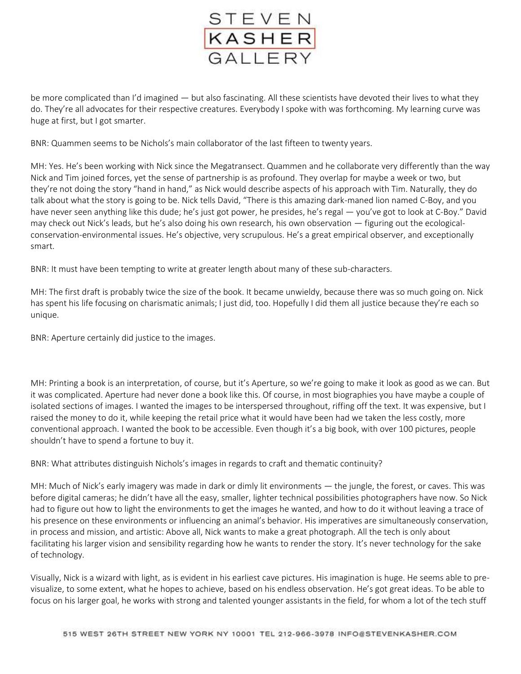

be more complicated than I'd imagined — but also fascinating. All these scientists have devoted their lives to what they do. They're all advocates for their respective creatures. Everybody I spoke with was forthcoming. My learning curve was huge at first, but I got smarter.

BNR: Quammen seems to be Nichols's main collaborator of the last fifteen to twenty years.

MH: Yes. He's been working with Nick since the Megatransect. Quammen and he collaborate very differently than the way Nick and Tim joined forces, yet the sense of partnership is as profound. They overlap for maybe a week or two, but they're not doing the story "hand in hand," as Nick would describe aspects of his approach with Tim. Naturally, they do talk about what the story is going to be. Nick tells David, "There is this amazing dark-maned lion named C-Boy, and you have never seen anything like this dude; he's just got power, he presides, he's regal — you've got to look at C-Boy." David may check out Nick's leads, but he's also doing his own research, his own observation — figuring out the ecologicalconservation-environmental issues. He's objective, very scrupulous. He's a great empirical observer, and exceptionally smart.

BNR: It must have been tempting to write at greater length about many of these sub-characters.

MH: The first draft is probably twice the size of the book. It became unwieldy, because there was so much going on. Nick has spent his life focusing on charismatic animals; I just did, too. Hopefully I did them all justice because they're each so unique.

BNR: Aperture certainly did justice to the images.

MH: Printing a book is an interpretation, of course, but it's Aperture, so we're going to make it look as good as we can. But it was complicated. Aperture had never done a book like this. Of course, in most biographies you have maybe a couple of isolated sections of images. I wanted the images to be interspersed throughout, riffing off the text. It was expensive, but I raised the money to do it, while keeping the retail price what it would have been had we taken the less costly, more conventional approach. I wanted the book to be accessible. Even though it's a big book, with over 100 pictures, people shouldn't have to spend a fortune to buy it.

BNR: What attributes distinguish Nichols's images in regards to craft and thematic continuity?

MH: Much of Nick's early imagery was made in dark or dimly lit environments — the jungle, the forest, or caves. This was before digital cameras; he didn't have all the easy, smaller, lighter technical possibilities photographers have now. So Nick had to figure out how to light the environments to get the images he wanted, and how to do it without leaving a trace of his presence on these environments or influencing an animal's behavior. His imperatives are simultaneously conservation, in process and mission, and artistic: Above all, Nick wants to make a great photograph. All the tech is only about facilitating his larger vision and sensibility regarding how he wants to render the story. It's never technology for the sake of technology.

Visually, Nick is a wizard with light, as is evident in his earliest cave pictures. His imagination is huge. He seems able to previsualize, to some extent, what he hopes to achieve, based on his endless observation. He's got great ideas. To be able to focus on his larger goal, he works with strong and talented younger assistants in the field, for whom a lot of the tech stuff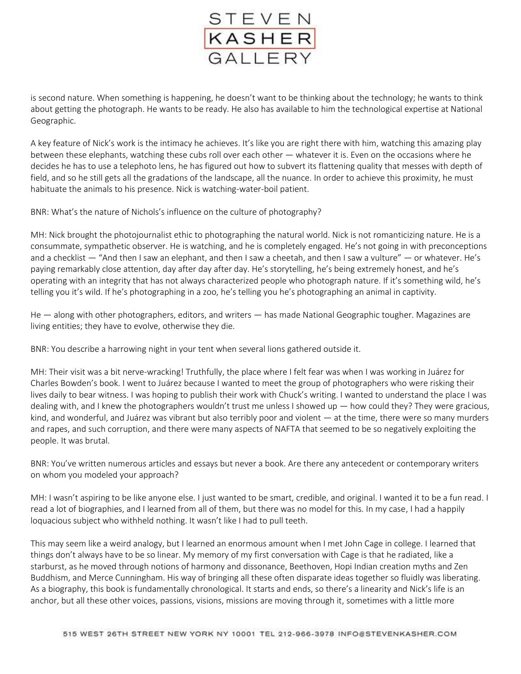

is second nature. When something is happening, he doesn't want to be thinking about the technology; he wants to think about getting the photograph. He wants to be ready. He also has available to him the technological expertise at National Geographic.

A key feature of Nick's work is the intimacy he achieves. It's like you are right there with him, watching this amazing play between these elephants, watching these cubs roll over each other — whatever it is. Even on the occasions where he decides he has to use a telephoto lens, he has figured out how to subvert its flattening quality that messes with depth of field, and so he still gets all the gradations of the landscape, all the nuance. In order to achieve this proximity, he must habituate the animals to his presence. Nick is watching-water-boil patient.

BNR: What's the nature of Nichols's influence on the culture of photography?

MH: Nick brought the photojournalist ethic to photographing the natural world. Nick is not romanticizing nature. He is a consummate, sympathetic observer. He is watching, and he is completely engaged. He's not going in with preconceptions and a checklist — "And then I saw an elephant, and then I saw a cheetah, and then I saw a vulture" — or whatever. He's paying remarkably close attention, day after day after day. He's storytelling, he's being extremely honest, and he's operating with an integrity that has not always characterized people who photograph nature. If it's something wild, he's telling you it's wild. If he's photographing in a zoo, he's telling you he's photographing an animal in captivity.

He — along with other photographers, editors, and writers — has made National Geographic tougher. Magazines are living entities; they have to evolve, otherwise they die.

BNR: You describe a harrowing night in your tent when several lions gathered outside it.

MH: Their visit was a bit nerve-wracking! Truthfully, the place where I felt fear was when I was working in Juárez for Charles Bowden's book. I went to Juárez because I wanted to meet the group of photographers who were risking their lives daily to bear witness. I was hoping to publish their work with Chuck's writing. I wanted to understand the place I was dealing with, and I knew the photographers wouldn't trust me unless I showed up — how could they? They were gracious, kind, and wonderful, and Juárez was vibrant but also terribly poor and violent — at the time, there were so many murders and rapes, and such corruption, and there were many aspects of NAFTA that seemed to be so negatively exploiting the people. It was brutal.

BNR: You've written numerous articles and essays but never a book. Are there any antecedent or contemporary writers on whom you modeled your approach?

MH: I wasn't aspiring to be like anyone else. I just wanted to be smart, credible, and original. I wanted it to be a fun read. I read a lot of biographies, and I learned from all of them, but there was no model for this. In my case, I had a happily loquacious subject who withheld nothing. It wasn't like I had to pull teeth.

This may seem like a weird analogy, but I learned an enormous amount when I met John Cage in college. I learned that things don't always have to be so linear. My memory of my first conversation with Cage is that he radiated, like a starburst, as he moved through notions of harmony and dissonance, Beethoven, Hopi Indian creation myths and Zen Buddhism, and Merce Cunningham. His way of bringing all these often disparate ideas together so fluidly was liberating. As a biography, this book is fundamentally chronological. It starts and ends, so there's a linearity and Nick's life is an anchor, but all these other voices, passions, visions, missions are moving through it, sometimes with a little more